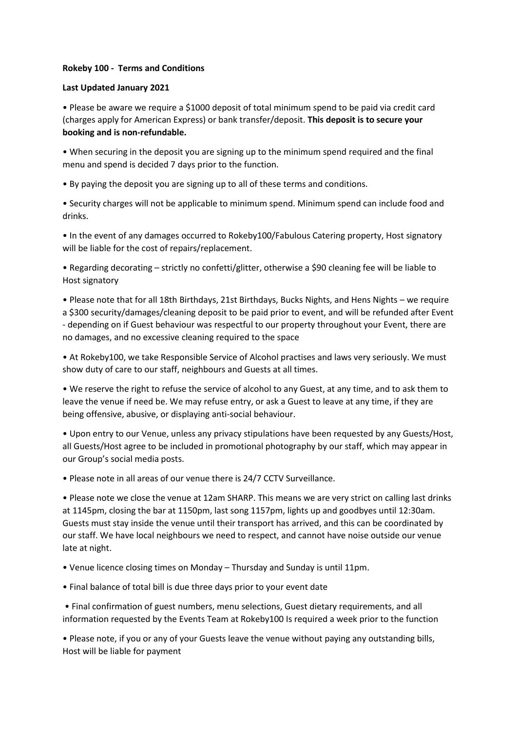## **Rokeby 100 - Terms and Conditions**

## **Last Updated January 2021**

• Please be aware we require a \$1000 deposit of total minimum spend to be paid via credit card (charges apply for American Express) or bank transfer/deposit. **This deposit is to secure your booking and is non-refundable.** 

• When securing in the deposit you are signing up to the minimum spend required and the final menu and spend is decided 7 days prior to the function.

• By paying the deposit you are signing up to all of these terms and conditions.

• Security charges will not be applicable to minimum spend. Minimum spend can include food and drinks.

• In the event of any damages occurred to Rokeby100/Fabulous Catering property, Host signatory will be liable for the cost of repairs/replacement.

• Regarding decorating – strictly no confetti/glitter, otherwise a \$90 cleaning fee will be liable to Host signatory

• Please note that for all 18th Birthdays, 21st Birthdays, Bucks Nights, and Hens Nights – we require a \$300 security/damages/cleaning deposit to be paid prior to event, and will be refunded after Event - depending on if Guest behaviour was respectful to our property throughout your Event, there are no damages, and no excessive cleaning required to the space

• At Rokeby100, we take Responsible Service of Alcohol practises and laws very seriously. We must show duty of care to our staff, neighbours and Guests at all times.

• We reserve the right to refuse the service of alcohol to any Guest, at any time, and to ask them to leave the venue if need be. We may refuse entry, or ask a Guest to leave at any time, if they are being offensive, abusive, or displaying anti-social behaviour.

• Upon entry to our Venue, unless any privacy stipulations have been requested by any Guests/Host, all Guests/Host agree to be included in promotional photography by our staff, which may appear in our Group's social media posts.

• Please note in all areas of our venue there is 24/7 CCTV Surveillance.

• Please note we close the venue at 12am SHARP. This means we are very strict on calling last drinks at 1145pm, closing the bar at 1150pm, last song 1157pm, lights up and goodbyes until 12:30am. Guests must stay inside the venue until their transport has arrived, and this can be coordinated by our staff. We have local neighbours we need to respect, and cannot have noise outside our venue late at night.

• Venue licence closing times on Monday – Thursday and Sunday is until 11pm.

• Final balance of total bill is due three days prior to your event date

• Final confirmation of guest numbers, menu selections, Guest dietary requirements, and all information requested by the Events Team at Rokeby100 Is required a week prior to the function

• Please note, if you or any of your Guests leave the venue without paying any outstanding bills, Host will be liable for payment